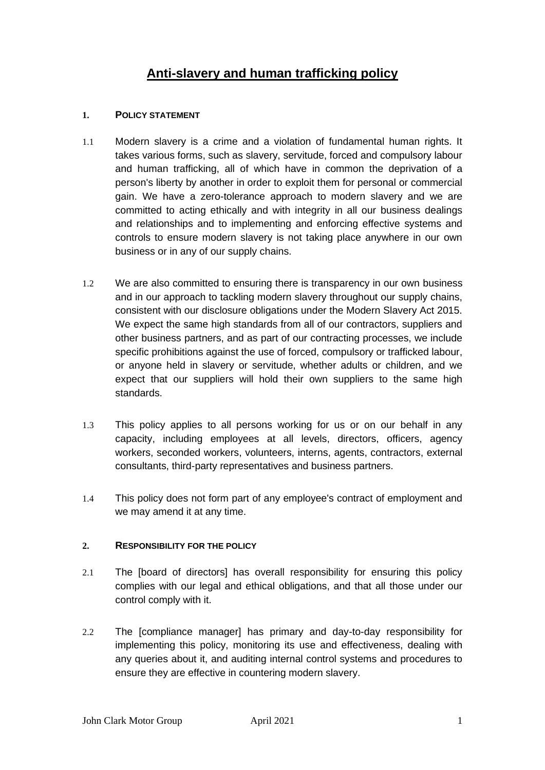# **Anti-slavery and human trafficking policy**

# **1. POLICY STATEMENT**

- 1.1 Modern slavery is a crime and a violation of fundamental human rights. It takes various forms, such as slavery, servitude, forced and compulsory labour and human trafficking, all of which have in common the deprivation of a person's liberty by another in order to exploit them for personal or commercial gain. We have a zero-tolerance approach to modern slavery and we are committed to acting ethically and with integrity in all our business dealings and relationships and to implementing and enforcing effective systems and controls to ensure modern slavery is not taking place anywhere in our own business or in any of our supply chains.
- 1.2 We are also committed to ensuring there is transparency in our own business and in our approach to tackling modern slavery throughout our supply chains, consistent with our disclosure obligations under the Modern Slavery Act 2015. We expect the same high standards from all of our contractors, suppliers and other business partners, and as part of our contracting processes, we include specific prohibitions against the use of forced, compulsory or trafficked labour, or anyone held in slavery or servitude, whether adults or children, and we expect that our suppliers will hold their own suppliers to the same high standards.
- 1.3 This policy applies to all persons working for us or on our behalf in any capacity, including employees at all levels, directors, officers, agency workers, seconded workers, volunteers, interns, agents, contractors, external consultants, third-party representatives and business partners.
- 1.4 This policy does not form part of any employee's contract of employment and we may amend it at any time.

### **2. RESPONSIBILITY FOR THE POLICY**

- 2.1 The [board of directors] has overall responsibility for ensuring this policy complies with our legal and ethical obligations, and that all those under our control comply with it.
- 2.2 The [compliance manager] has primary and day-to-day responsibility for implementing this policy, monitoring its use and effectiveness, dealing with any queries about it, and auditing internal control systems and procedures to ensure they are effective in countering modern slavery.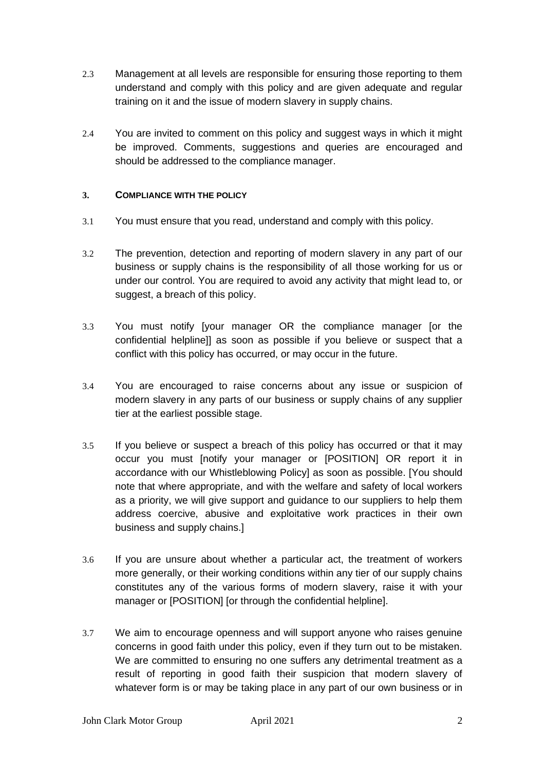- 2.3 Management at all levels are responsible for ensuring those reporting to them understand and comply with this policy and are given adequate and regular training on it and the issue of modern slavery in supply chains.
- 2.4 You are invited to comment on this policy and suggest ways in which it might be improved. Comments, suggestions and queries are encouraged and should be addressed to the compliance manager.

### **3. COMPLIANCE WITH THE POLICY**

- 3.1 You must ensure that you read, understand and comply with this policy.
- 3.2 The prevention, detection and reporting of modern slavery in any part of our business or supply chains is the responsibility of all those working for us or under our control. You are required to avoid any activity that might lead to, or suggest, a breach of this policy.
- 3.3 You must notify [your manager OR the compliance manager [or the confidential helpline]] as soon as possible if you believe or suspect that a conflict with this policy has occurred, or may occur in the future.
- 3.4 You are encouraged to raise concerns about any issue or suspicion of modern slavery in any parts of our business or supply chains of any supplier tier at the earliest possible stage.
- 3.5 If you believe or suspect a breach of this policy has occurred or that it may occur you must [notify your manager or [POSITION] OR report it in accordance with our Whistleblowing Policy] as soon as possible. [You should note that where appropriate, and with the welfare and safety of local workers as a priority, we will give support and guidance to our suppliers to help them address coercive, abusive and exploitative work practices in their own business and supply chains.]
- 3.6 If you are unsure about whether a particular act, the treatment of workers more generally, or their working conditions within any tier of our supply chains constitutes any of the various forms of modern slavery, raise it with your manager or [POSITION] [or through the confidential helpline].
- 3.7 We aim to encourage openness and will support anyone who raises genuine concerns in good faith under this policy, even if they turn out to be mistaken. We are committed to ensuring no one suffers any detrimental treatment as a result of reporting in good faith their suspicion that modern slavery of whatever form is or may be taking place in any part of our own business or in